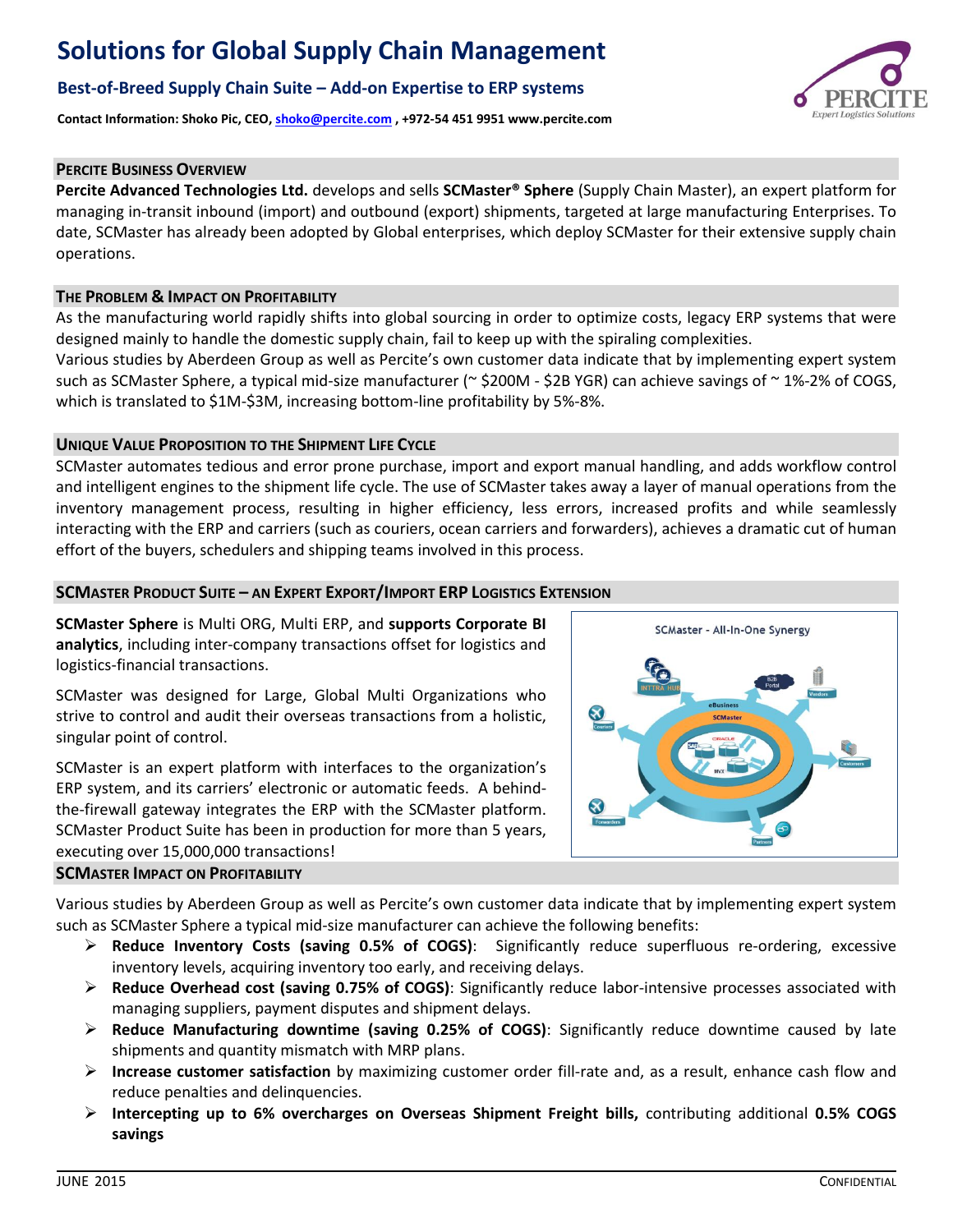# **Solutions for Global Supply Chain Management**

# **Best-of-Breed Supply Chain Suite – Add-on Expertise to ERP systems**

**Contact Information: Shoko Pic, CEO, [shoko@percite.com](mailto:shoko@percite.com) , +972-54 451 9951 www.percite.com**

#### **PERCITE BUSINESS OVERVIEW**

**Percite Advanced Technologies Ltd.** develops and sells **SCMaster® Sphere** (Supply Chain Master), an expert platform for managing in-transit inbound (import) and outbound (export) shipments, targeted at large manufacturing Enterprises. To date, SCMaster has already been adopted by Global enterprises, which deploy SCMaster for their extensive supply chain operations.

#### **THE PROBLEM & IMPACT ON PROFITABILITY**

As the manufacturing world rapidly shifts into global sourcing in order to optimize costs, legacy ERP systems that were designed mainly to handle the domestic supply chain, fail to keep up with the spiraling complexities.

Various studies by Aberdeen Group as well as Percite's own customer data indicate that by implementing expert system such as SCMaster Sphere, a typical mid-size manufacturer ( $\approx$  \$200M - \$2B YGR) can achieve savings of  $\sim$  1%-2% of COGS, which is translated to \$1M-\$3M, increasing bottom-line profitability by 5%-8%.

### **UNIQUE VALUE PROPOSITION TO THE SHIPMENT LIFE CYCLE**

SCMaster automates tedious and error prone purchase, import and export manual handling, and adds workflow control and intelligent engines to the shipment life cycle. The use of SCMaster takes away a layer of manual operations from the inventory management process, resulting in higher efficiency, less errors, increased profits and while seamlessly interacting with the ERP and carriers (such as couriers, ocean carriers and forwarders), achieves a dramatic cut of human effort of the buyers, schedulers and shipping teams involved in this process.

#### **SCMASTER PRODUCT SUITE – AN EXPERT EXPORT/IMPORT ERP LOGISTICS EXTENSION**

**SCMaster Sphere** is Multi ORG, Multi ERP, and **supports Corporate BI analytics**, including inter-company transactions offset for logistics and logistics-financial transactions.

SCMaster was designed for Large, Global Multi Organizations who strive to control and audit their overseas transactions from a holistic, singular point of control.

SCMaster is an expert platform with interfaces to the organization's ERP system, and its carriers' electronic or automatic feeds. A behindthe-firewall gateway integrates the ERP with the SCMaster platform. SCMaster Product Suite has been in production for more than 5 years, executing over 15,000,000 transactions!



Various studies by Aberdeen Group as well as Percite's own customer data indicate that by implementing expert system such as SCMaster Sphere a typical mid-size manufacturer can achieve the following benefits:

- **Reduce Inventory Costs (saving 0.5% of COGS)**: Significantly reduce superfluous re-ordering, excessive inventory levels, acquiring inventory too early, and receiving delays.
- **Reduce Overhead cost (saving 0.75% of COGS)**: Significantly reduce labor-intensive processes associated with managing suppliers, payment disputes and shipment delays.
- **Reduce Manufacturing downtime (saving 0.25% of COGS)**: Significantly reduce downtime caused by late shipments and quantity mismatch with MRP plans.
- **Increase customer satisfaction** by maximizing customer order fill-rate and, as a result, enhance cash flow and reduce penalties and delinquencies.
- **Intercepting up to 6% overcharges on Overseas Shipment Freight bills,** contributing additional **0.5% COGS savings**



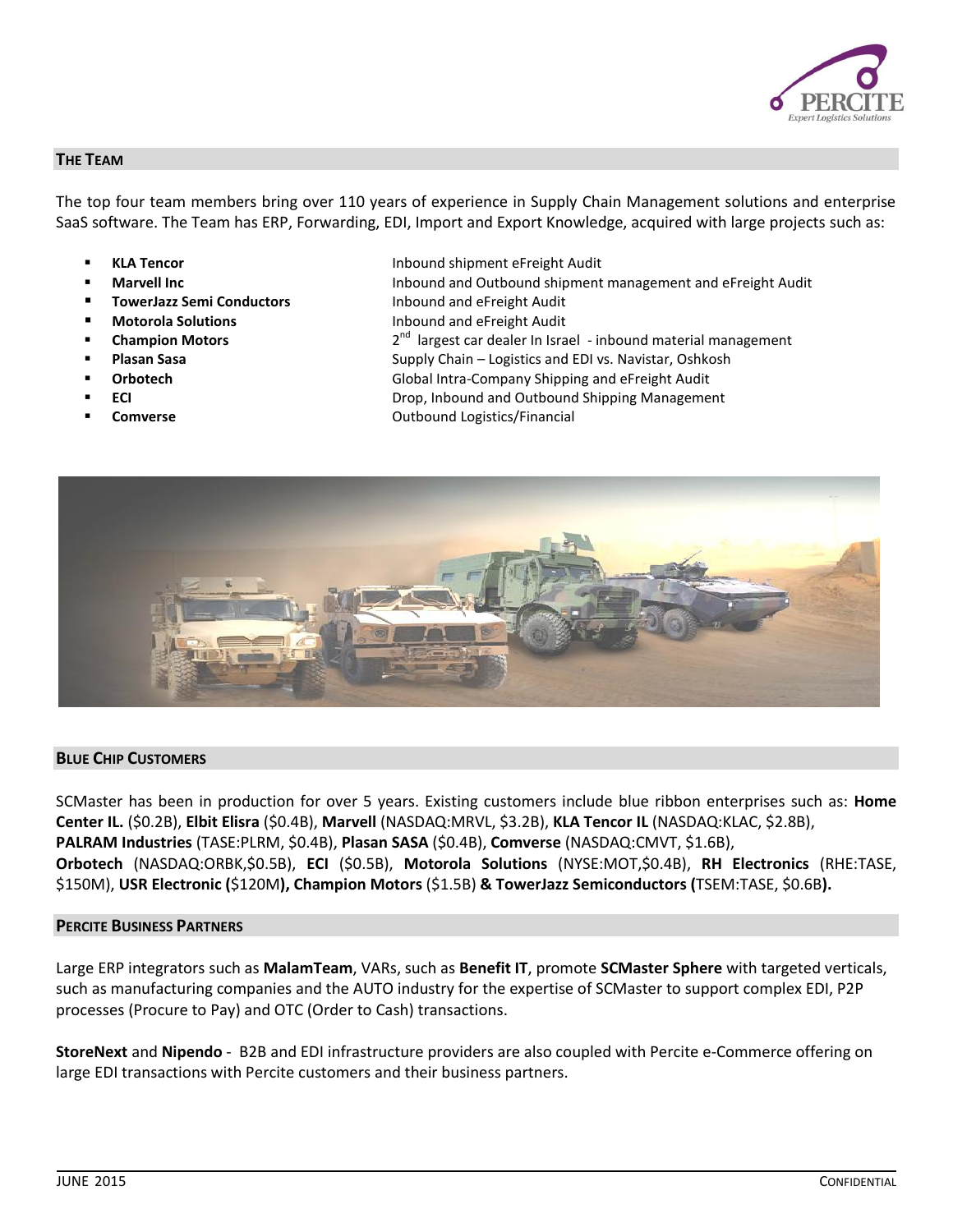

#### **THE TEAM**

The top four team members bring over 110 years of experience in Supply Chain Management solutions and enterprise SaaS software. The Team has ERP, Forwarding, EDI, Import and Export Knowledge, acquired with large projects such as:

- 
- 
- **TowerJazz Semi Conductors Inbound and eFreight Audit**
- 
- **Champion Motors**
- 
- 
- 
- 
- **KLA Tencor** Inbound shipment eFreight Audit
- **Marvell Inc Industrial Industrial Audit** Inbound and Outbound shipment management and eFreight Audit
	-
- **Motorola Solutions Inbound and eFreight Audit** 
	- $2<sup>nd</sup>$  largest car dealer In Israel inbound material management
- **Plasan Sasa Supply Chain Logistics and EDI vs. Navistar, Oshkosh Chain Logistics and EDI vs. Navistar, Oshkosh**
- **Orbotech** Global Intra-Company Shipping and eFreight Audit
- **ECI ECI ECI ECI ECI ECI ECI ECI ECI ECI ECI ECI ECI ECI ECI ECI ECI ECI ECI ECI ECI ECI ECI ECI ECI ECI ECI ECI ECI ECI ECI ECI ECI ECI ECI**
- **Comverse** Comverse Comverse Computer Computer Computer Computer Computer Computer Computer Computer Computer Computer Computer Computer Computer Computer Computer Computer Computer Computer Computer Computer Computer Comp



#### **BLUE CHIP CUSTOMERS**

SCMaster has been in production for over 5 years. Existing customers include blue ribbon enterprises such as: **Home Center IL.** (\$0.2B), **Elbit Elisra** (\$0.4B), **Marvell** (NASDAQ:MRVL, \$3.2B), **KLA Tencor IL** (NASDAQ:KLAC, \$2.8B), **PALRAM Industries** (TASE:PLRM, \$0.4B), **Plasan SASA** (\$0.4B), **Comverse** (NASDAQ:CMVT, \$1.6B), **Orbotech** (NASDAQ:ORBK,\$0.5B), **ECI** (\$0.5B), **Motorola Solutions** (NYSE:MOT,\$0.4B), **RH Electronics** (RHE:TASE, \$150M), **USR Electronic (**\$120M**), Champion Motors** (\$1.5B) **& TowerJazz Semiconductors (**TSEM:TASE, \$0.6B**).**

# **PERCITE BUSINESS PARTNERS**

Large ERP integrators such as **MalamTeam**, VARs, such as **Benefit IT**, promote **SCMaster Sphere** with targeted verticals, such as manufacturing companies and the AUTO industry for the expertise of SCMaster to support complex EDI, P2P processes (Procure to Pay) and OTC (Order to Cash) transactions.

**StoreNext** and **Nipendo** - B2B and EDI infrastructure providers are also coupled with Percite e-Commerce offering on large EDI transactions with Percite customers and their business partners.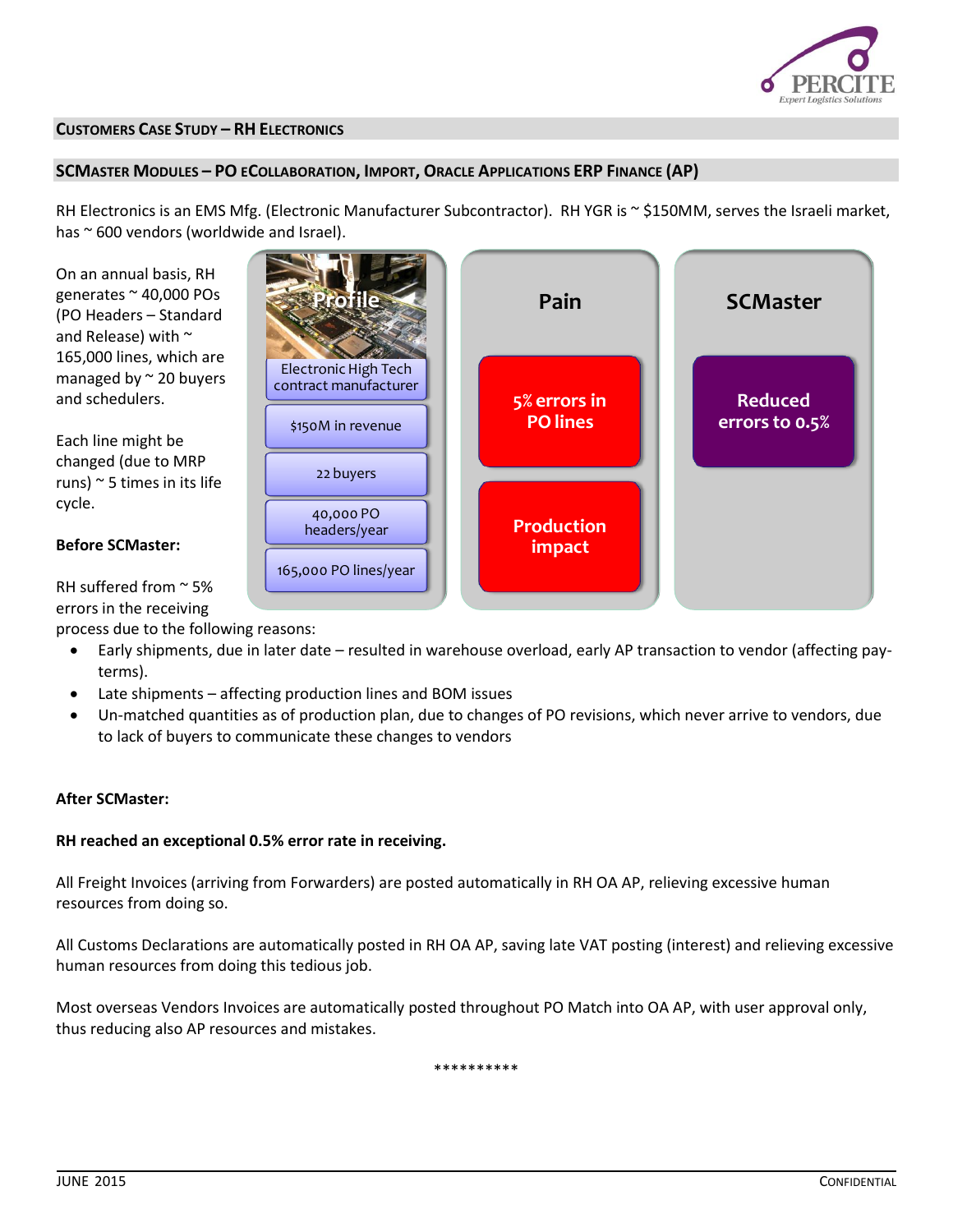

#### **CUSTOMERS CASE STUDY – RH ELECTRONICS**

#### **SCMASTER MODULES - PO ECOLLABORATION, IMPORT, ORACLE APPLICATIONS ERP FINANCE (AP)**

RH Electronics is an EMS Mfg. (Electronic Manufacturer Subcontractor). RH YGR is ~ \$150MM, serves the Israeli market, has ~ 600 vendors (worldwide and Israel).

On an annual basis, RH generates ~ 40,000 POs (PO Headers – Standard and Release) with ~ 165,000 lines, which are managed by  $\sim$  20 buyers and schedulers.

Each line might be changed (due to MRP runs)  $\sim$  5 times in its life cycle.

#### **Before SCMaster:**

RH suffered from  $\approx$  5% errors in the receiving

process due to the following reasons:

- Early shipments, due in later date resulted in warehouse overload, early AP transaction to vendor (affecting payterms).
- Late shipments affecting production lines and BOM issues
- Un-matched quantities as of production plan, due to changes of PO revisions, which never arrive to vendors, due to lack of buyers to communicate these changes to vendors

# **After SCMaster:**

#### **RH reached an exceptional 0.5% error rate in receiving.**

All Freight Invoices (arriving from Forwarders) are posted automatically in RH OA AP, relieving excessive human resources from doing so.

All Customs Declarations are automatically posted in RH OA AP, saving late VAT posting (interest) and relieving excessive human resources from doing this tedious job.

Most overseas Vendors Invoices are automatically posted throughout PO Match into OA AP, with user approval only, thus reducing also AP resources and mistakes.

\*\*\*\*\*\*\*\*\*